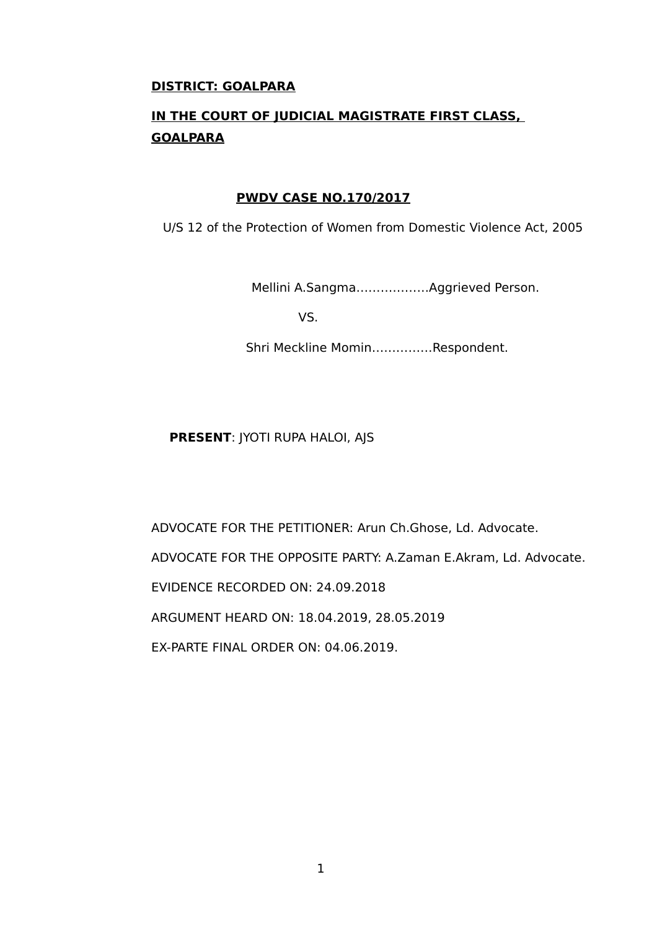### **DISTRICT: GOALPARA**

# **IN THE COURT OF JUDICIAL MAGISTRATE FIRST CLASS, GOALPARA**

#### **PWDV CASE NO.170/2017**

U/S 12 of the Protection of Women from Domestic Violence Act, 2005

Mellini A.Sangma………………Aggrieved Person.

VS.

Shri Meckline Momin……………Respondent.

**PRESENT**: JYOTI RUPA HALOI, AJS

ADVOCATE FOR THE PETITIONER: Arun Ch.Ghose, Ld. Advocate.

ADVOCATE FOR THE OPPOSITE PARTY: A.Zaman E.Akram, Ld. Advocate.

EVIDENCE RECORDED ON: 24.09.2018

ARGUMENT HEARD ON: 18.04.2019, 28.05.2019

EX-PARTE FINAL ORDER ON: 04.06.2019.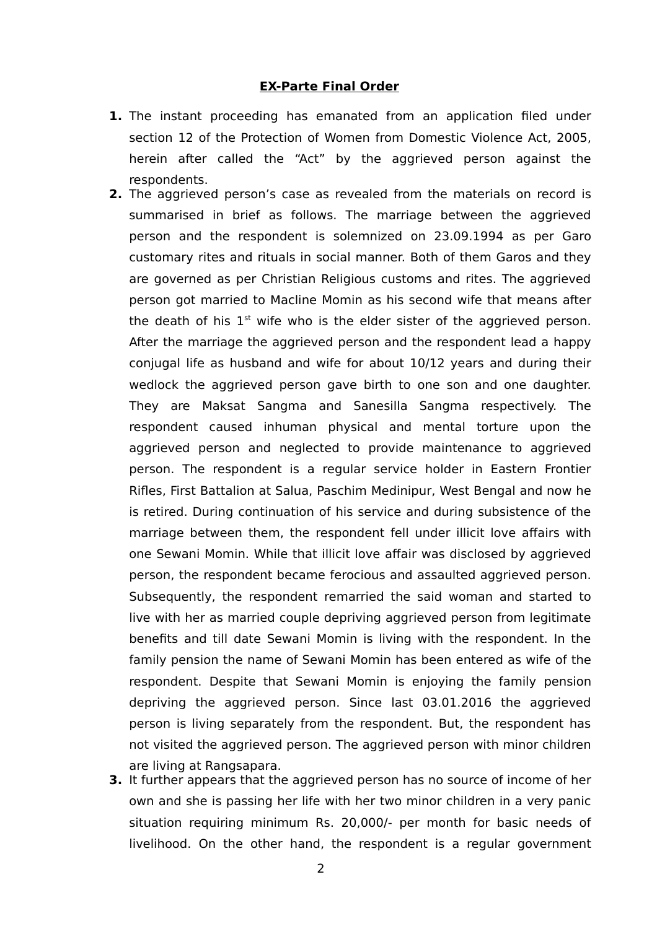#### **EX-Parte Final Order**

- **1.** The instant proceeding has emanated from an application filed under section 12 of the Protection of Women from Domestic Violence Act, 2005, herein after called the "Act" by the aggrieved person against the respondents.
- **2.** The aggrieved person's case as revealed from the materials on record is summarised in brief as follows. The marriage between the aggrieved person and the respondent is solemnized on 23.09.1994 as per Garo customary rites and rituals in social manner. Both of them Garos and they are governed as per Christian Religious customs and rites. The aggrieved person got married to Macline Momin as his second wife that means after the death of his  $1<sup>st</sup>$  wife who is the elder sister of the aggrieved person. After the marriage the aggrieved person and the respondent lead a happy conjugal life as husband and wife for about 10/12 years and during their wedlock the aggrieved person gave birth to one son and one daughter. They are Maksat Sangma and Sanesilla Sangma respectively. The respondent caused inhuman physical and mental torture upon the aggrieved person and neglected to provide maintenance to aggrieved person. The respondent is a regular service holder in Eastern Frontier Rifles, First Battalion at Salua, Paschim Medinipur, West Bengal and now he is retired. During continuation of his service and during subsistence of the marriage between them, the respondent fell under illicit love affairs with one Sewani Momin. While that illicit love affair was disclosed by aggrieved person, the respondent became ferocious and assaulted aggrieved person. Subsequently, the respondent remarried the said woman and started to live with her as married couple depriving aggrieved person from legitimate benefits and till date Sewani Momin is living with the respondent. In the family pension the name of Sewani Momin has been entered as wife of the respondent. Despite that Sewani Momin is enjoying the family pension depriving the aggrieved person. Since last 03.01.2016 the aggrieved person is living separately from the respondent. But, the respondent has not visited the aggrieved person. The aggrieved person with minor children are living at Rangsapara.
- **3.** It further appears that the aggrieved person has no source of income of her own and she is passing her life with her two minor children in a very panic situation requiring minimum Rs. 20,000/- per month for basic needs of livelihood. On the other hand, the respondent is a regular government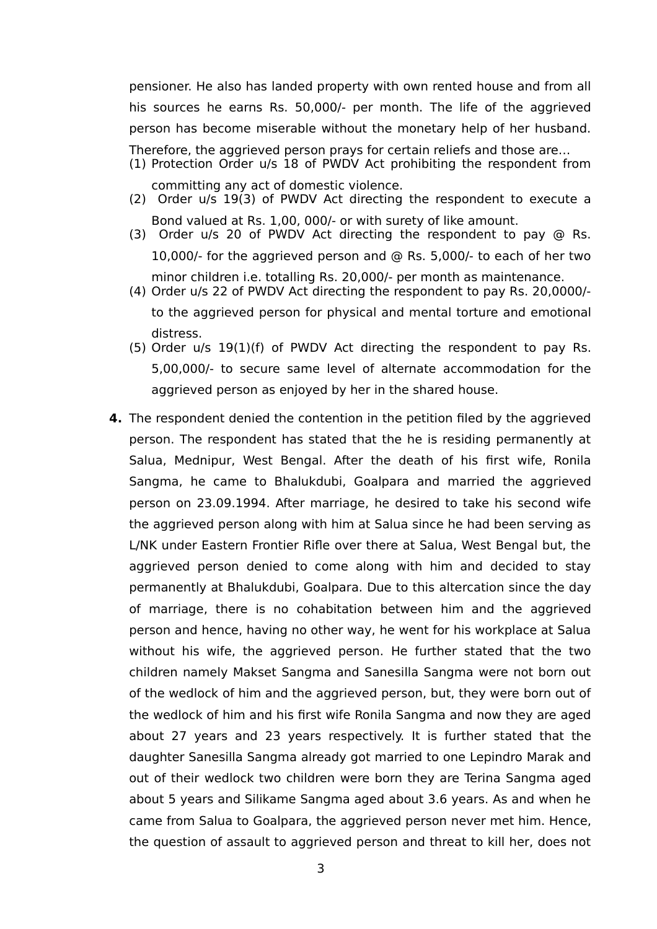pensioner. He also has landed property with own rented house and from all his sources he earns Rs. 50,000/- per month. The life of the aggrieved person has become miserable without the monetary help of her husband. Therefore, the aggrieved person prays for certain reliefs and those are…

- (1) Protection Order u/s 18 of PWDV Act prohibiting the respondent from committing any act of domestic violence.
- (2) Order u/s 19(3) of PWDV Act directing the respondent to execute a Bond valued at Rs. 1,00, 000/- or with surety of like amount.
- (3) Order u/s 20 of PWDV Act directing the respondent to pay @ Rs. 10,000/- for the aggrieved person and @ Rs. 5,000/- to each of her two minor children i.e. totalling Rs. 20,000/- per month as maintenance.
- (4) Order u/s 22 of PWDV Act directing the respondent to pay Rs. 20,0000/ to the aggrieved person for physical and mental torture and emotional distress.
- (5) Order u/s 19(1)(f) of PWDV Act directing the respondent to pay Rs. 5,00,000/- to secure same level of alternate accommodation for the aggrieved person as enjoyed by her in the shared house.
- **4.** The respondent denied the contention in the petition filed by the aggrieved person. The respondent has stated that the he is residing permanently at Salua, Mednipur, West Bengal. After the death of his first wife, Ronila Sangma, he came to Bhalukdubi, Goalpara and married the aggrieved person on 23.09.1994. After marriage, he desired to take his second wife the aggrieved person along with him at Salua since he had been serving as L/NK under Eastern Frontier Rifle over there at Salua, West Bengal but, the aggrieved person denied to come along with him and decided to stay permanently at Bhalukdubi, Goalpara. Due to this altercation since the day of marriage, there is no cohabitation between him and the aggrieved person and hence, having no other way, he went for his workplace at Salua without his wife, the aggrieved person. He further stated that the two children namely Makset Sangma and Sanesilla Sangma were not born out of the wedlock of him and the aggrieved person, but, they were born out of the wedlock of him and his first wife Ronila Sangma and now they are aged about 27 years and 23 years respectively. It is further stated that the daughter Sanesilla Sangma already got married to one Lepindro Marak and out of their wedlock two children were born they are Terina Sangma aged about 5 years and Silikame Sangma aged about 3.6 years. As and when he came from Salua to Goalpara, the aggrieved person never met him. Hence, the question of assault to aggrieved person and threat to kill her, does not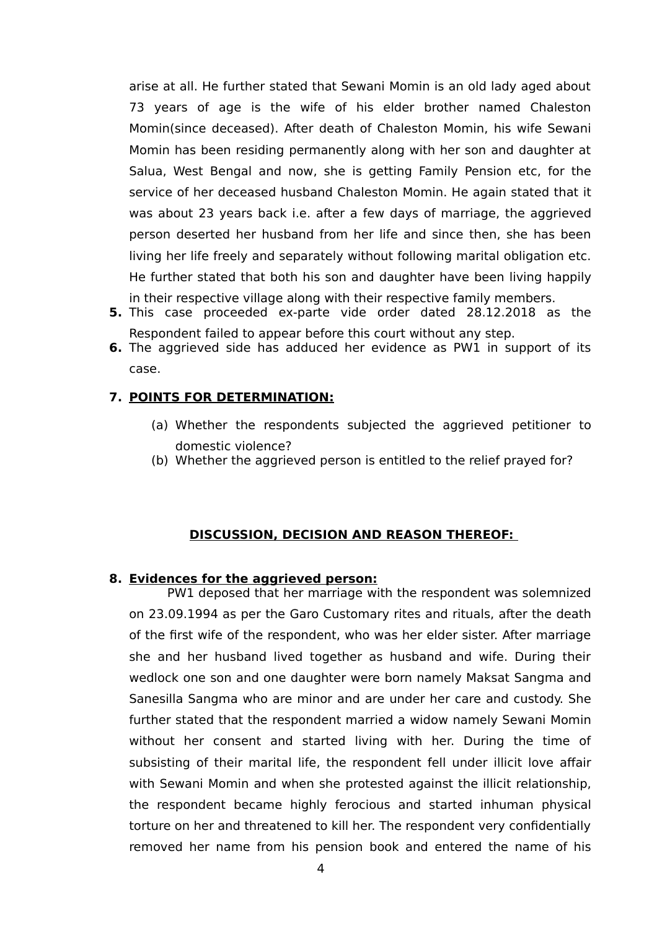arise at all. He further stated that Sewani Momin is an old lady aged about 73 years of age is the wife of his elder brother named Chaleston Momin(since deceased). After death of Chaleston Momin, his wife Sewani Momin has been residing permanently along with her son and daughter at Salua, West Bengal and now, she is getting Family Pension etc, for the service of her deceased husband Chaleston Momin. He again stated that it was about 23 years back i.e. after a few days of marriage, the aggrieved person deserted her husband from her life and since then, she has been living her life freely and separately without following marital obligation etc. He further stated that both his son and daughter have been living happily in their respective village along with their respective family members.

- **5.** This case proceeded ex-parte vide order dated 28.12.2018 as the Respondent failed to appear before this court without any step.
- **6.** The aggrieved side has adduced her evidence as PW1 in support of its case.

## **7. POINTS FOR DETERMINATION:**

- (a) Whether the respondents subjected the aggrieved petitioner to domestic violence?
- (b) Whether the aggrieved person is entitled to the relief prayed for?

## **DISCUSSION, DECISION AND REASON THEREOF:**

## **8. Evidences for the aggrieved person:**

 PW1 deposed that her marriage with the respondent was solemnized on 23.09.1994 as per the Garo Customary rites and rituals, after the death of the first wife of the respondent, who was her elder sister. After marriage she and her husband lived together as husband and wife. During their wedlock one son and one daughter were born namely Maksat Sangma and Sanesilla Sangma who are minor and are under her care and custody. She further stated that the respondent married a widow namely Sewani Momin without her consent and started living with her. During the time of subsisting of their marital life, the respondent fell under illicit love affair with Sewani Momin and when she protested against the illicit relationship, the respondent became highly ferocious and started inhuman physical torture on her and threatened to kill her. The respondent very confidentially removed her name from his pension book and entered the name of his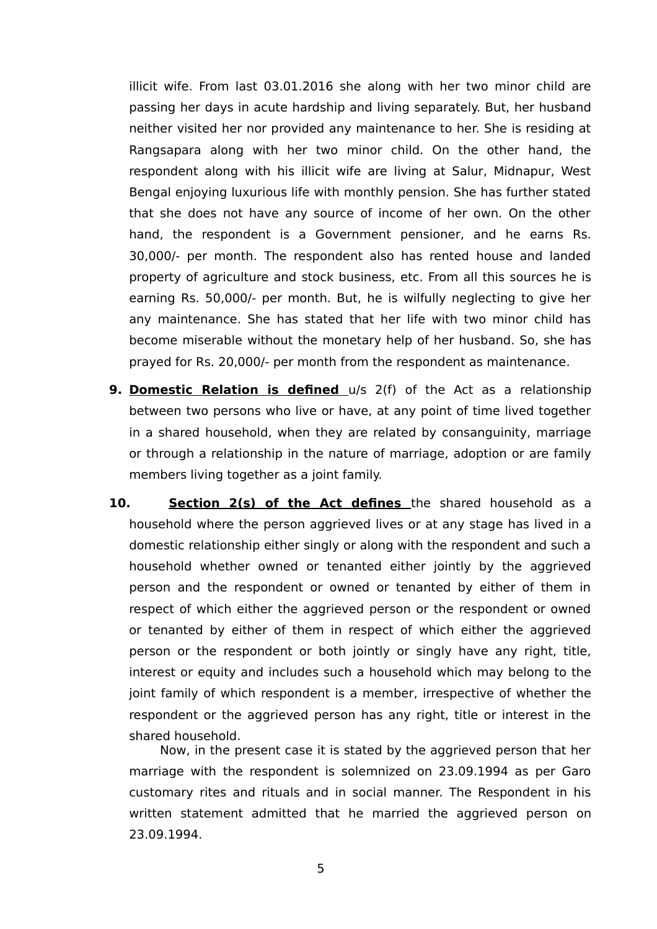illicit wife. From last 03.01.2016 she along with her two minor child are passing her days in acute hardship and living separately. But, her husband neither visited her nor provided any maintenance to her. She is residing at Rangsapara along with her two minor child. On the other hand, the respondent along with his illicit wife are living at Salur, Midnapur, West Bengal enjoying luxurious life with monthly pension. She has further stated that she does not have any source of income of her own. On the other hand, the respondent is a Government pensioner, and he earns Rs. 30,000/- per month. The respondent also has rented house and landed property of agriculture and stock business, etc. From all this sources he is earning Rs. 50,000/- per month. But, he is wilfully neglecting to give her any maintenance. She has stated that her life with two minor child has become miserable without the monetary help of her husband. So, she has prayed for Rs. 20,000/- per month from the respondent as maintenance.

- **9. Domestic Relation is defined** u/s 2(f) of the Act as a relationship between two persons who live or have, at any point of time lived together in a shared household, when they are related by consanguinity, marriage or through a relationship in the nature of marriage, adoption or are family members living together as a joint family.
- **10. Section 2(s) of the Act defines** the shared household as a household where the person aggrieved lives or at any stage has lived in a domestic relationship either singly or along with the respondent and such a household whether owned or tenanted either jointly by the aggrieved person and the respondent or owned or tenanted by either of them in respect of which either the aggrieved person or the respondent or owned or tenanted by either of them in respect of which either the aggrieved person or the respondent or both jointly or singly have any right, title, interest or equity and includes such a household which may belong to the joint family of which respondent is a member, irrespective of whether the respondent or the aggrieved person has any right, title or interest in the shared household.

 Now, in the present case it is stated by the aggrieved person that her marriage with the respondent is solemnized on 23.09.1994 as per Garo customary rites and rituals and in social manner. The Respondent in his written statement admitted that he married the aggrieved person on 23.09.1994.

5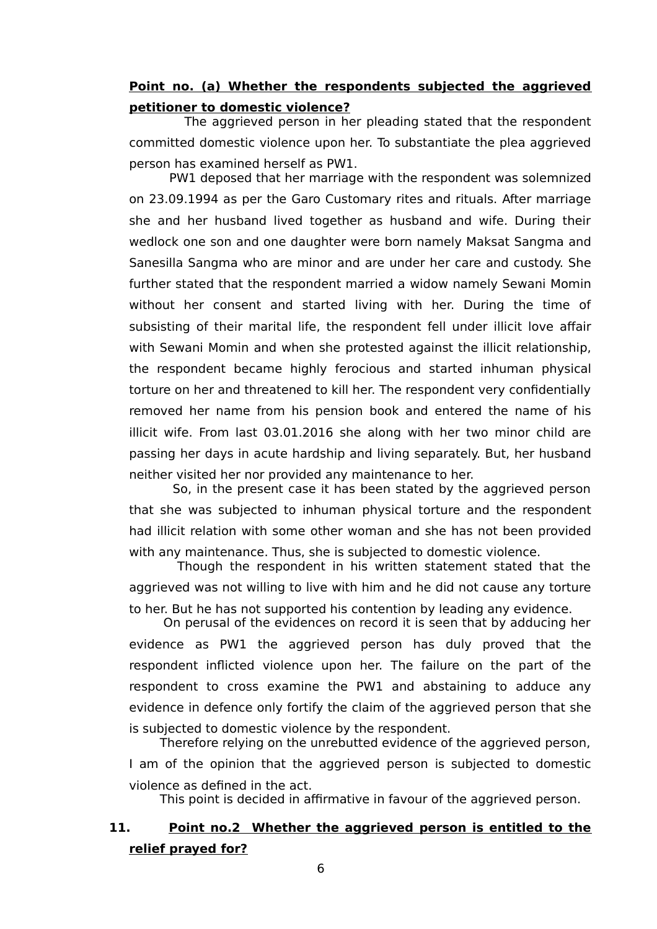## **Point no. (a) Whether the respondents subjected the aggrieved petitioner to domestic violence?**

The aggrieved person in her pleading stated that the respondent committed domestic violence upon her. To substantiate the plea aggrieved person has examined herself as PW1.

 PW1 deposed that her marriage with the respondent was solemnized on 23.09.1994 as per the Garo Customary rites and rituals. After marriage she and her husband lived together as husband and wife. During their wedlock one son and one daughter were born namely Maksat Sangma and Sanesilla Sangma who are minor and are under her care and custody. She further stated that the respondent married a widow namely Sewani Momin without her consent and started living with her. During the time of subsisting of their marital life, the respondent fell under illicit love affair with Sewani Momin and when she protested against the illicit relationship, the respondent became highly ferocious and started inhuman physical torture on her and threatened to kill her. The respondent very confidentially removed her name from his pension book and entered the name of his illicit wife. From last 03.01.2016 she along with her two minor child are passing her days in acute hardship and living separately. But, her husband neither visited her nor provided any maintenance to her.

 So, in the present case it has been stated by the aggrieved person that she was subjected to inhuman physical torture and the respondent had illicit relation with some other woman and she has not been provided with any maintenance. Thus, she is subjected to domestic violence.

 Though the respondent in his written statement stated that the aggrieved was not willing to live with him and he did not cause any torture to her. But he has not supported his contention by leading any evidence.

 On perusal of the evidences on record it is seen that by adducing her evidence as PW1 the aggrieved person has duly proved that the respondent inflicted violence upon her. The failure on the part of the respondent to cross examine the PW1 and abstaining to adduce any evidence in defence only fortify the claim of the aggrieved person that she is subjected to domestic violence by the respondent.

Therefore relying on the unrebutted evidence of the aggrieved person, I am of the opinion that the aggrieved person is subjected to domestic violence as defined in the act.

This point is decided in affirmative in favour of the aggrieved person.

# **11. Point no.2 Whether the aggrieved person is entitled to the relief prayed for?**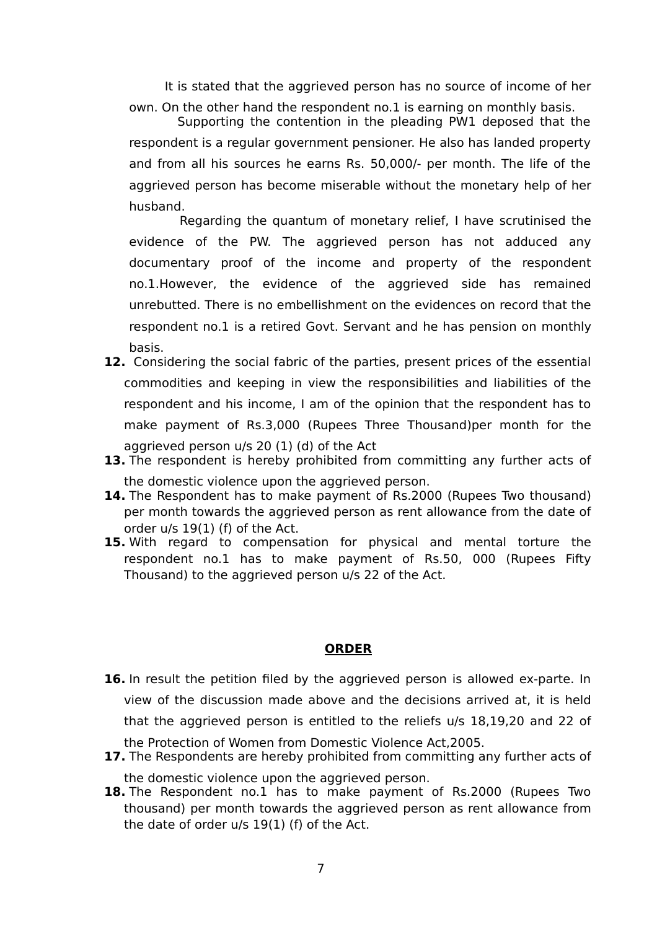It is stated that the aggrieved person has no source of income of her own. On the other hand the respondent no.1 is earning on monthly basis.

 Supporting the contention in the pleading PW1 deposed that the respondent is a regular government pensioner. He also has landed property and from all his sources he earns Rs. 50,000/- per month. The life of the aggrieved person has become miserable without the monetary help of her husband.

 Regarding the quantum of monetary relief, I have scrutinised the evidence of the PW. The aggrieved person has not adduced any documentary proof of the income and property of the respondent no.1.However, the evidence of the aggrieved side has remained unrebutted. There is no embellishment on the evidences on record that the respondent no.1 is a retired Govt. Servant and he has pension on monthly basis.

- **12.** Considering the social fabric of the parties, present prices of the essential commodities and keeping in view the responsibilities and liabilities of the respondent and his income, I am of the opinion that the respondent has to make payment of Rs.3,000 (Rupees Three Thousand)per month for the aggrieved person u/s 20 (1) (d) of the Act
- **13.** The respondent is hereby prohibited from committing any further acts of the domestic violence upon the aggrieved person.
- **14.** The Respondent has to make payment of Rs.2000 (Rupees Two thousand) per month towards the aggrieved person as rent allowance from the date of order u/s 19(1) (f) of the Act.
- **15.** With regard to compensation for physical and mental torture the respondent no.1 has to make payment of Rs.50, 000 (Rupees Fifty Thousand) to the aggrieved person u/s 22 of the Act.

#### **ORDER**

- **16.** In result the petition filed by the aggrieved person is allowed ex-parte. In view of the discussion made above and the decisions arrived at, it is held that the aggrieved person is entitled to the reliefs u/s 18,19,20 and 22 of the Protection of Women from Domestic Violence Act,2005.
- **17.** The Respondents are hereby prohibited from committing any further acts of the domestic violence upon the aggrieved person.
- 18. The Respondent no.1 has to make payment of Rs.2000 (Rupees Two thousand) per month towards the aggrieved person as rent allowance from the date of order u/s 19(1) (f) of the Act.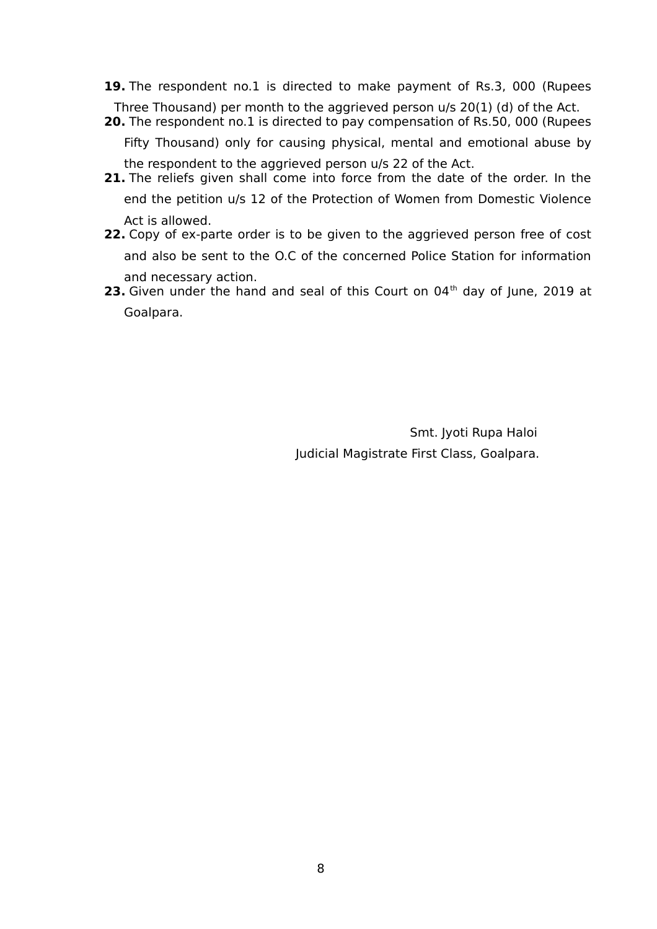- **19.** The respondent no.1 is directed to make payment of Rs.3, 000 (Rupees Three Thousand) per month to the aggrieved person u/s 20(1) (d) of the Act.
- **20.** The respondent no.1 is directed to pay compensation of Rs.50, 000 (Rupees

Fifty Thousand) only for causing physical, mental and emotional abuse by the respondent to the aggrieved person u/s 22 of the Act.

- **21.** The reliefs given shall come into force from the date of the order. In the end the petition u/s 12 of the Protection of Women from Domestic Violence Act is allowed.
- **22.** Copy of ex-parte order is to be given to the aggrieved person free of cost and also be sent to the O.C of the concerned Police Station for information and necessary action.
- **23.** Given under the hand and seal of this Court on 04<sup>th</sup> day of June, 2019 at Goalpara.

 Smt. Jyoti Rupa Haloi Judicial Magistrate First Class, Goalpara.